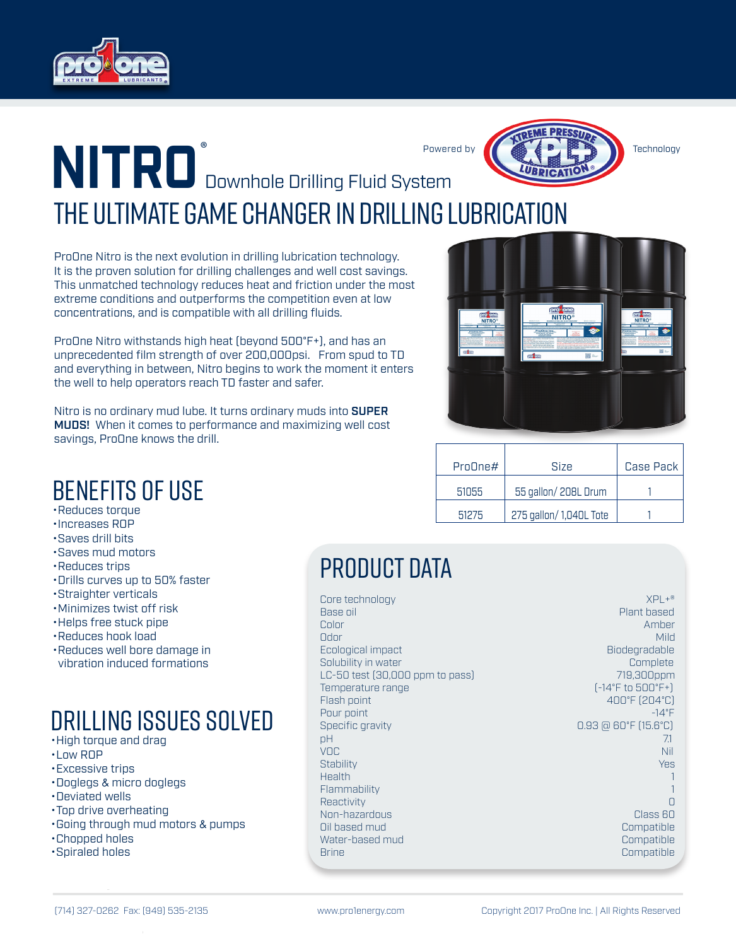



The Ultimate Game Changer In Drilling Lubrication Downhole Drilling Fluid System **NITRO**

ProOne Nitro is the next evolution in drilling lubrication technology. It is the proven solution for drilling challenges and well cost savings. This unmatched technology reduces heat and friction under the most extreme conditions and outperforms the competition even at low concentrations, and is compatible with all drilling fluids.

ProOne Nitro withstands high heat (beyond 500°F+), and has an unprecedented film strength of over 200,000psi. From spud to TD and everything in between, Nitro begins to work the moment it enters the well to help operators reach TD faster and safer.

Nitro is no ordinary mud lube. It turns ordinary muds into **SUPER** MUDS! When it comes to performance and maximizing well cost savings, ProOne knows the drill.

| pro <mark>done</mark><br>NITRO®<br>PreQue Inc.,<br><b>CANADA</b><br>on and | <b><i><u>Proviene</u></i></b><br>NITRO®<br><b>BOSTOLIC</b><br>ś<br>ProOne Inc.<br><b>SAN MARCHAER</b><br><b>Reference Management</b><br>pro one<br>器 | <b>PIC<sup>L</sup>ORE</b><br>NITRO®<br>ProOne Inc.<br>ක -<br>æ |
|----------------------------------------------------------------------------|------------------------------------------------------------------------------------------------------------------------------------------------------|----------------------------------------------------------------|
|                                                                            |                                                                                                                                                      |                                                                |

| PrnIne# | <b>Size</b>             | Case Pack |
|---------|-------------------------|-----------|
| 51055   | 55 gallon/208L Drum     |           |
| 51275   | 275 gallon/ 1,040L Tote |           |

# Benefits Of Use

- •Reduces torque
- •Increases ROP
- •Saves drill bits
- •Saves mud motors
- •Reduces trips
- •Drills curves up to 50% faster
- •Straighter verticals
- •Minimizes twist off risk •Helps free stuck pipe
- 
- •Reduces hook load
- •Reduces well bore damage in vibration induced formations

## Drilling Issues Solved

- •High torque and drag
- •Low ROP
- •Excessive trips
- •Doglegs & micro doglegs
- •Deviated wells
- •Top drive overheating
- •Going through mud motors & pumps
- •Chopped holes
- •Spiraled holes

## PRODUCT DATA

| Core technology                 | $XPL +®$                                         |
|---------------------------------|--------------------------------------------------|
| Base oil                        | Plant based                                      |
| Color                           | Amber                                            |
| Odor                            | Mild                                             |
| Ecological impact               | Biodegradable                                    |
| Solubility in water             | Complete                                         |
| LC-50 test (30,000 ppm to pass) | 719,300ppm                                       |
| Temperature range               | $[-14^{\circ}$ F to 500 $^{\circ}$ F+)           |
| Flash point                     | 400°F (204°C)                                    |
| Pour point                      | $-14^{\circ}$ F                                  |
| Specific gravity                | $0.93 \boxtimes 60 \degree$ F (15.6 $\degree$ C) |
| рH                              | 7.1                                              |
| VOC                             | <b>Nil</b>                                       |
| Stability                       | <b>Yes</b>                                       |
| Health                          |                                                  |
| Flammability                    |                                                  |
| Reactivity                      | Π                                                |
| Non-hazardous                   | Class 60                                         |
| Oil based mud                   | Compatible                                       |
| Water-based mud                 | Compatible                                       |
| Brine                           | Compatible                                       |
|                                 |                                                  |